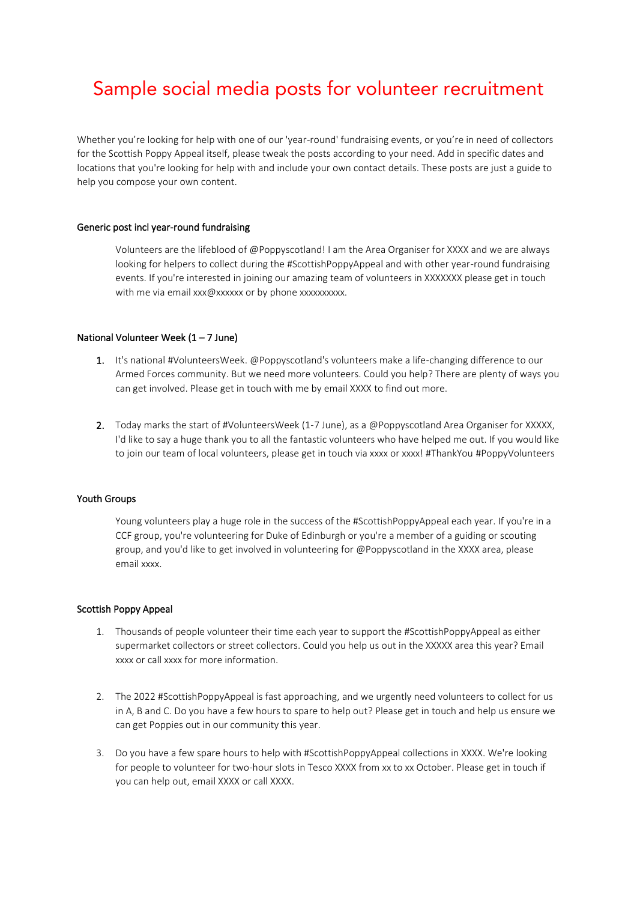# Sample social media posts for volunteer recruitment

Whether you're looking for help with one of our 'year-round' fundraising events, or you're in need of collectors for the Scottish Poppy Appeal itself, please tweak the posts according to your need. Add in specific dates and locations that you're looking for help with and include your own contact details. These posts are just a guide to help you compose your own content.

## Generic post incl year-round fundraising

Volunteers are the lifeblood of @Poppyscotland! I am the Area Organiser for XXXX and we are always looking for helpers to collect during the #ScottishPoppyAppeal and with other year-round fundraising events. If you're interested in joining our amazing team of volunteers in XXXXXXX please get in touch with me via email xxx@xxxxxx or by phone xxxxxxxxxx.

## National Volunteer Week  $(1 - 7$  June)

- 1. It's national #VolunteersWeek. @Poppyscotland's volunteers make a life-changing difference to our Armed Forces community. But we need more volunteers. Could you help? There are plenty of ways you can get involved. Please get in touch with me by email XXXX to find out more.
- 2. Today marks the start of #VolunteersWeek (1-7 June), as a @Poppyscotland Area Organiser for XXXXX, I'd like to say a huge thank you to all the fantastic volunteers who have helped me out. If you would like to join our team of local volunteers, please get in touch via xxxx or xxxx! #ThankYou #PoppyVolunteers

### Youth Groups

Young volunteers play a huge role in the success of the #ScottishPoppyAppeal each year. If you're in a CCF group, you're volunteering for Duke of Edinburgh or you're a member of a guiding or scouting group, and you'd like to get involved in volunteering for @Poppyscotland in the XXXX area, please email xxxx.

### Scottish Poppy Appeal

- 1. Thousands of people volunteer their time each year to support the #ScottishPoppyAppeal as either supermarket collectors or street collectors. Could you help us out in the XXXXX area this year? Email xxxx or call xxxx for more information.
- 2. The 2022 #ScottishPoppyAppeal is fast approaching, and we urgently need volunteers to collect for us in A, B and C. Do you have a few hours to spare to help out? Please get in touch and help us ensure we can get Poppies out in our community this year.
- 3. Do you have a few spare hours to help with #ScottishPoppyAppeal collections in XXXX. We're looking for people to volunteer for two-hour slots in Tesco XXXX from xx to xx October. Please get in touch if you can help out, email XXXX or call XXXX.